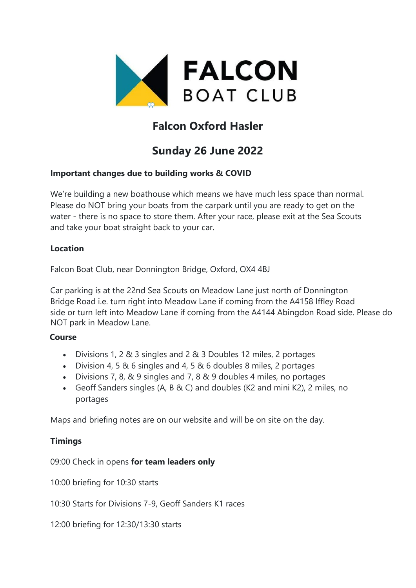

# **Falcon Oxford Hasler**

# **Sunday 26 June 2022**

## **Important changes due to building works & COVID**

We're building a new boathouse which means we have much less space than normal. Please do NOT bring your boats from the carpark until you are ready to get on the water - there is no space to store them. After your race, please exit at the Sea Scouts and take your boat straight back to your car.

#### **Location**

Falcon Boat Club, near Donnington Bridge, Oxford, OX4 4BJ

Car parking is at the 22nd Sea Scouts on Meadow Lane just north of Donnington Bridge Road i.e. turn right into Meadow Lane if coming from the A4158 Iffley Road side or turn left into Meadow Lane if coming from the A4144 Abingdon Road side. Please do NOT park in Meadow Lane.

## **Course**

- Divisions 1, 2 & 3 singles and 2 & 3 Doubles 12 miles, 2 portages
- Division 4, 5 & 6 singles and 4, 5 & 6 doubles 8 miles, 2 portages
- Divisions 7, 8, & 9 singles and 7, 8 & 9 doubles 4 miles, no portages
- Geoff Sanders singles (A, B & C) and doubles (K2 and mini K2), 2 miles, no portages

Maps and briefing notes are on our website and will be on site on the day.

## **Timings**

09:00 Check in opens **for team leaders only**

10:00 briefing for 10:30 starts

10:30 Starts for Divisions 7-9, Geoff Sanders K1 races

12:00 briefing for 12:30/13:30 starts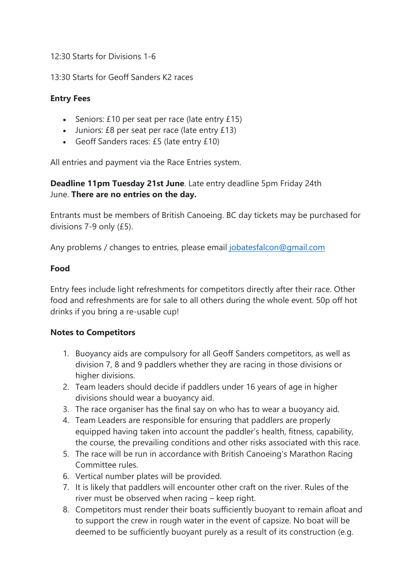12:30 Starts for Divisions 1-6

13:30 Starts for Geoff Sanders K2 races

### **Entry Fees**

- Seniors: £10 per seat per race (late entry £15)
- Juniors: £8 per seat per race (late entry £13)
- Geoff Sanders races: £5 (late entry £10)

All entries and payment via the Race Entries system.

**Deadline 11pm Tuesday 21st June**. Late entry deadline 5pm Friday 24th June. **There are no entries on the day.**

Entrants must be members of British Canoeing. BC day tickets may be purchased for divisions 7-9 only (£5).

Any problems / changes to entries, please email [jobatesfalcon@gmail.com](mailto:jobatesfalcon@gmail.com)

#### **Food**

Entry fees include light refreshments for competitors directly after their race. Other food and refreshments are for sale to all others during the whole event. 50p off hot drinks if you bring a re-usable cup!

#### **Notes to Competitors**

- 1. Buoyancy aids are compulsory for all Geoff Sanders competitors, as well as division 7, 8 and 9 paddlers whether they are racing in those divisions or higher divisions.
- 2. Team leaders should decide if paddlers under 16 years of age in higher divisions should wear a buoyancy aid.
- 3. The race organiser has the final say on who has to wear a buoyancy aid.
- 4. Team Leaders are responsible for ensuring that paddlers are properly equipped having taken into account the paddler's health, fitness, capability, the course, the prevailing conditions and other risks associated with this race.
- 5. The race will be run in accordance with British Canoeing's Marathon Racing Committee rules.
- 6. Vertical number plates will be provided.
- 7. It is likely that paddlers will encounter other craft on the river. Rules of the river must be observed when racing – keep right.
- 8. Competitors must render their boats sufficiently buoyant to remain afloat and to support the crew in rough water in the event of capsize. No boat will be deemed to be sufficiently buoyant purely as a result of its construction (e.g.